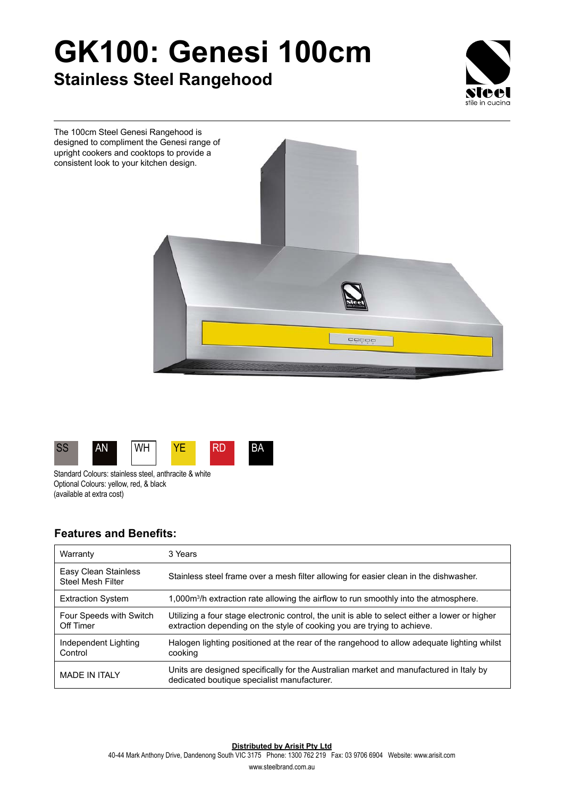## **GK100: Genesi 100cm Stainless Steel Rangehood**







Standard Colours: stainless steel, anthracite & white Optional Colours: yellow, red, & black (available at extra cost)

## **Features and Benefits:**

| Warranty                                         | 3 Years                                                                                                                                                                   |
|--------------------------------------------------|---------------------------------------------------------------------------------------------------------------------------------------------------------------------------|
| Easy Clean Stainless<br><b>Steel Mesh Filter</b> | Stainless steel frame over a mesh filter allowing for easier clean in the dishwasher.                                                                                     |
| <b>Extraction System</b>                         | 1,000 $\mathrm{m}^3$ /h extraction rate allowing the airflow to run smoothly into the atmosphere.                                                                         |
| Four Speeds with Switch<br>Off Timer             | Utilizing a four stage electronic control, the unit is able to select either a lower or higher<br>extraction depending on the style of cooking you are trying to achieve. |
| Independent Lighting<br>Control                  | Halogen lighting positioned at the rear of the rangehood to allow adequate lighting whilst<br>cooking                                                                     |
| <b>MADE IN ITAI Y</b>                            | Units are designed specifically for the Australian market and manufactured in Italy by<br>dedicated boutique specialist manufacturer.                                     |

**Distributed by Arisit Pty Ltd**

40-44 Mark Anthony Drive, Dandenong South VIC 3175 Phone: 1300 762 219 Fax: 03 9706 6904 Website: www.arisit.com